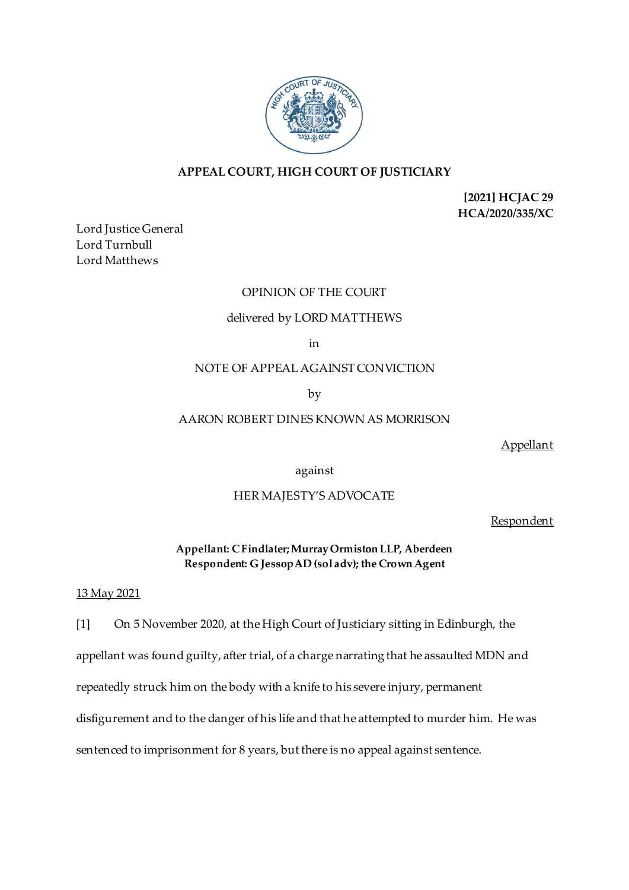

# **APPEAL COURT, HIGH COURT OF JUSTICIARY**

**[2021] HCJAC 29 HCA/2020/335/XC**

Lord Justice General Lord Turnbull Lord Matthews

# OPINION OF THE COURT

# delivered by LORD MATTHEWS

in

NOTE OF APPEAL AGAINST CONVICTION

by

### AARON ROBERT DINES KNOWN AS MORRISON

Appellant

against

# HER MAJESTY'S ADVOCATE

Respondent

**Appellant: C Findlater; Murray Ormiston LLP, Aberdeen Respondent: G Jessop AD (sol adv); the Crown Agent**

#### 13 May 2021

[1] On 5 November 2020, at the High Court of Justiciary sitting in Edinburgh, the appellant was found guilty, after trial, of a charge narrating that he assaulted MDN and repeatedly struck him on the body with a knife to his severe injury, permanent disfigurement and to the danger of his life and that he attempted to murder him. He was sentenced to imprisonment for 8 years, but there is no appeal against sentence.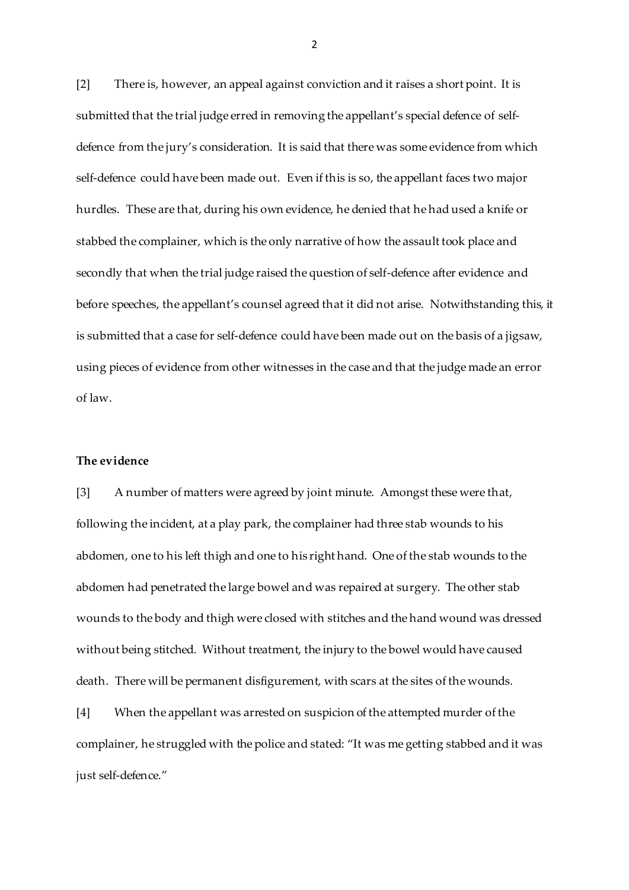[2] There is, however, an appeal against conviction and it raises a short point. It is submitted that the trial judge erred in removing the appellant's special defence of selfdefence from the jury's consideration. It is said that there was some evidence from which self-defence could have been made out. Even if this is so, the appellant faces two major hurdles. These are that, during his own evidence, he denied that he had used a knife or stabbed the complainer, which is the only narrative of how the assault took place and secondly that when the trial judge raised the question of self-defence after evidence and before speeches, the appellant's counsel agreed that it did not arise. Notwithstanding this, it is submitted that a case for self-defence could have been made out on the basis of a jigsaw, using pieces of evidence from other witnesses in the case and that the judge made an error of law.

# **The evidence**

[3] A number of matters were agreed by joint minute. Amongst these were that, following the incident, at a play park, the complainer had three stab wounds to his abdomen, one to his left thigh and one to his right hand. One of the stab wounds to the abdomen had penetrated the large bowel and was repaired at surgery. The other stab wounds to the body and thigh were closed with stitches and the hand wound was dressed without being stitched. Without treatment, the injury to the bowel would have caused death. There will be permanent disfigurement, with scars at the sites of the wounds.

[4] When the appellant was arrested on suspicion of the attempted murder of the complainer, he struggled with the police and stated: "It was me getting stabbed and it was just self-defence."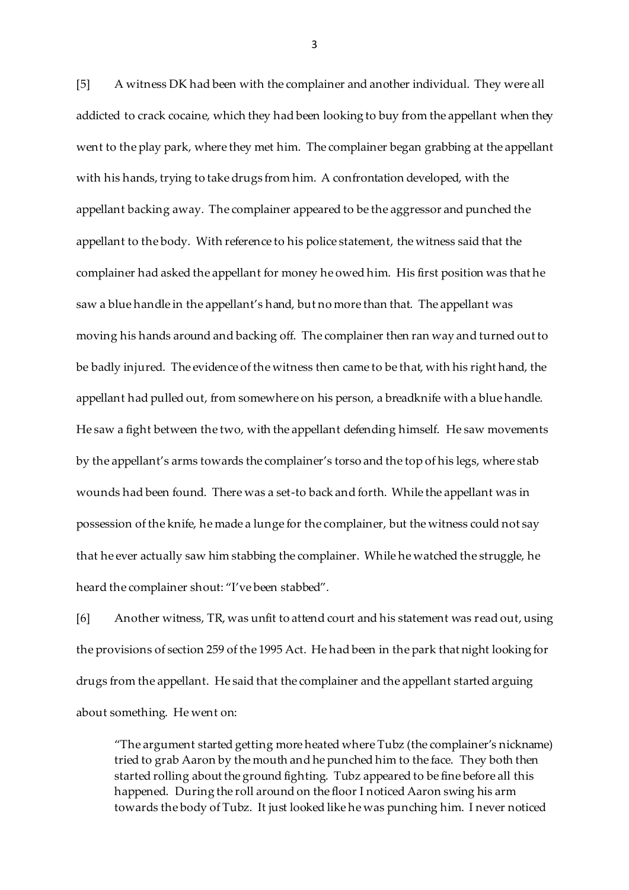[5] A witness DK had been with the complainer and another individual. They were all addicted to crack cocaine, which they had been looking to buy from the appellant when they went to the play park, where they met him. The complainer began grabbing at the appellant with his hands, trying to take drugs from him. A confrontation developed, with the appellant backing away. The complainer appeared to be the aggressor and punched the appellant to the body. With reference to his police statement, the witness said that the complainer had asked the appellant for money he owed him. His first position was that he saw a blue handle in the appellant's hand, but no more than that. The appellant was moving his hands around and backing off. The complainer then ran way and turned out to be badly injured. The evidence of the witness then came to be that, with his right hand, the appellant had pulled out, from somewhere on his person, a breadknife with a blue handle. He saw a fight between the two, with the appellant defending himself. He saw movements by the appellant's arms towards the complainer's torso and the top of his legs, where stab wounds had been found. There was a set-to back and forth. While the appellant was in possession of the knife, he made a lunge for the complainer, but the witness could not say that he ever actually saw him stabbing the complainer. While he watched the struggle, he heard the complainer shout: "I've been stabbed".

[6] Another witness, TR, was unfit to attend court and his statement was read out, using the provisions of section 259 of the 1995 Act. He had been in the park that night looking for drugs from the appellant. He said that the complainer and the appellant started arguing about something. He went on:

"The argument started getting more heated where Tubz (the complainer's nickname) tried to grab Aaron by the mouth and he punched him to the face. They both then started rolling about the ground fighting. Tubz appeared to be fine before all this happened. During the roll around on the floor I noticed Aaron swing his arm towards the body of Tubz. It just looked like he was punching him. I never noticed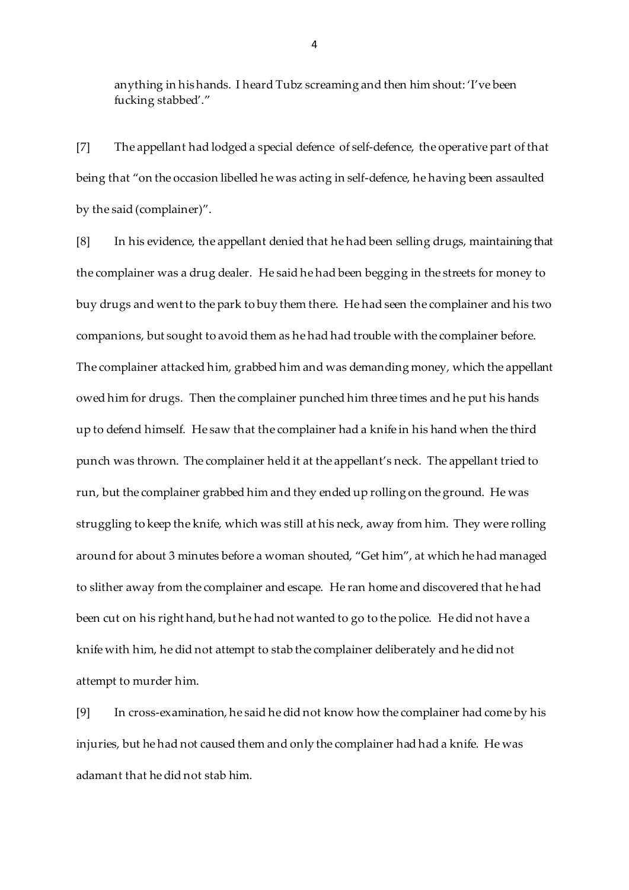anything in his hands. I heard Tubz screaming and then him shout: 'I've been fucking stabbed'."

[7] The appellant had lodged a special defence of self-defence, the operative part of that being that "on the occasion libelled he was acting in self-defence, he having been assaulted by the said (complainer)".

[8] In his evidence, the appellant denied that he had been selling drugs, maintaining that the complainer was a drug dealer. He said he had been begging in the streets for money to buy drugs and went to the park to buy them there. He had seen the complainer and his two companions, but sought to avoid them as he had had trouble with the complainer before. The complainer attacked him, grabbed him and was demanding money, which the appellant owed him for drugs. Then the complainer punched him three times and he put his hands up to defend himself. He saw that the complainer had a knife in his hand when the third punch was thrown. The complainer held it at the appellant's neck. The appellant tried to run, but the complainer grabbed him and they ended up rolling on the ground. He was struggling to keep the knife, which was still at his neck, away from him. They were rolling around for about 3 minutes before a woman shouted, "Get him", at which he had managed to slither away from the complainer and escape. He ran home and discovered that he had been cut on his right hand, but he had not wanted to go to the police. He did not have a knife with him, he did not attempt to stab the complainer deliberately and he did not attempt to murder him.

[9] In cross-examination, he said he did not know how the complainer had come by his injuries, but he had not caused them and only the complainer had had a knife. He was adamant that he did not stab him.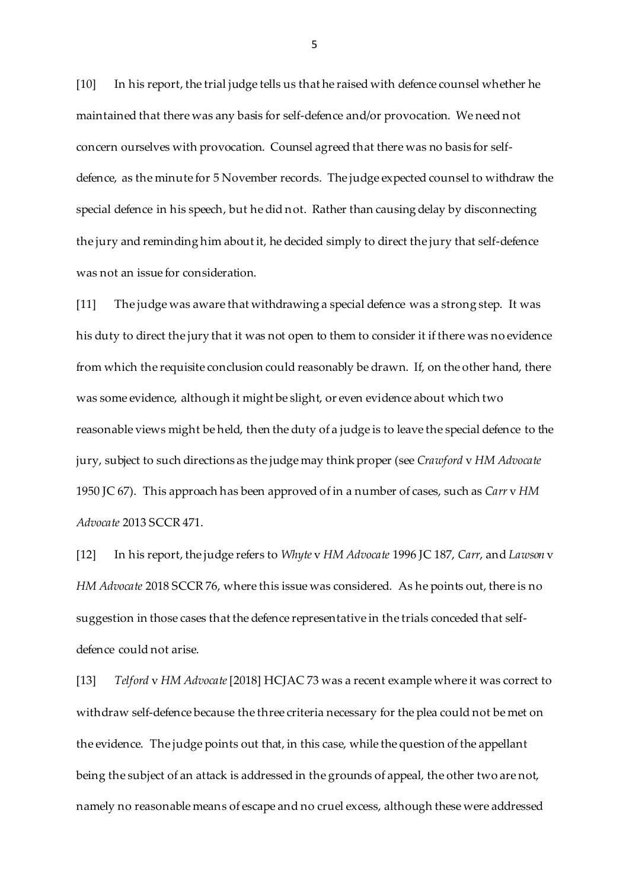[10] In his report, the trial judge tells us that he raised with defence counsel whether he maintained that there was any basis for self-defence and/or provocation. We need not concern ourselves with provocation. Counsel agreed that there was no basis for selfdefence, as the minute for 5 November records. The judge expected counsel to withdraw the special defence in his speech, but he did not. Rather than causing delay by disconnecting the jury and reminding him about it, he decided simply to direct the jury that self-defence was not an issue for consideration.

[11] The judge was aware that withdrawing a special defence was a strong step. It was his duty to direct the jury that it was not open to them to consider it if there was no evidence from which the requisite conclusion could reasonably be drawn. If, on the other hand, there was some evidence, although it might be slight, or even evidence about which two reasonable views might be held, then the duty of a judge is to leave the special defence to the jury, subject to such directions as the judge may think proper (see *Crawford* v *HM Advocate* 1950 JC 67). This approach has been approved of in a number of cases, such as *Carr* v *HM Advocate* 2013 SCCR 471.

[12] In his report, the judge refers to *Whyte* v *HM Advocate* 1996 JC 187, *Carr*, and *Lawson* v *HM Advocate* 2018 SCCR 76, where this issue was considered. As he points out, there is no suggestion in those cases that the defence representative in the trials conceded that selfdefence could not arise.

[13] *Telford* v *HM Advocate*[2018] HCJAC 73 was a recent example where it was correct to withdraw self-defence because the three criteria necessary for the plea could not be met on the evidence. The judge points out that, in this case, while the question of the appellant being the subject of an attack is addressed in the grounds of appeal, the other two are not, namely no reasonable means of escape and no cruel excess, although these were addressed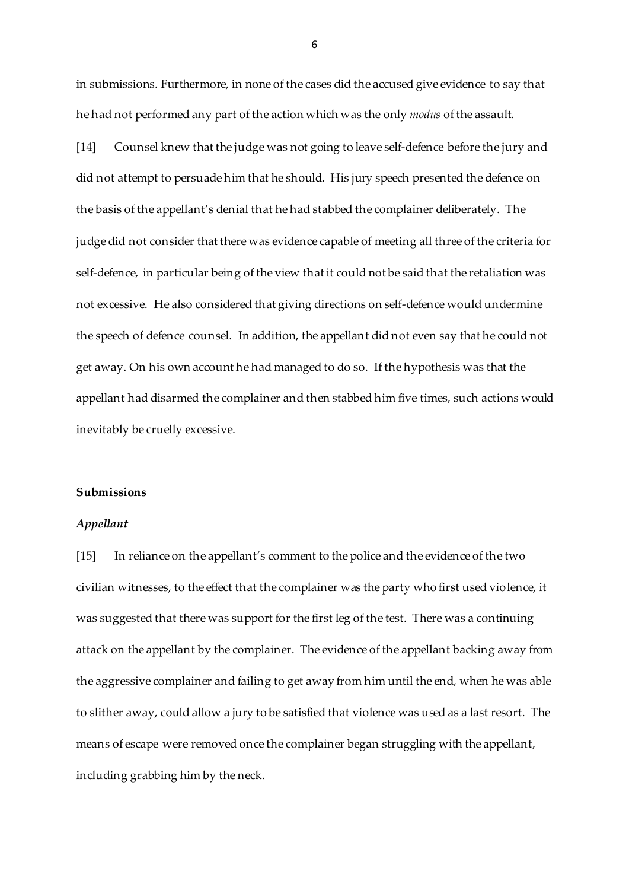in submissions. Furthermore, in none of the cases did the accused give evidence to say that he had not performed any part of the action which was the only *modus* of the assault.

[14] Counsel knew that the judge was not going to leave self-defence before the jury and did not attempt to persuade him that he should. His jury speech presented the defence on the basis of the appellant's denial that he had stabbed the complainer deliberately. The judge did not consider that there was evidence capable of meeting all three of the criteria for self-defence, in particular being of the view that it could not be said that the retaliation was not excessive. He also considered that giving directions on self-defence would undermine the speech of defence counsel. In addition, the appellant did not even say that he could not get away. On his own account he had managed to do so. If the hypothesis was that the appellant had disarmed the complainer and then stabbed him five times, such actions would inevitably be cruelly excessive.

#### **Submissions**

### *Appellant*

[15] In reliance on the appellant's comment to the police and the evidence of the two civilian witnesses, to the effect that the complainer was the party who first used violence, it was suggested that there was support for the first leg of the test. There was a continuing attack on the appellant by the complainer. The evidence of the appellant backing away from the aggressive complainer and failing to get away from him until the end, when he was able to slither away, could allow a jury to be satisfied that violence was used as a last resort. The means of escape were removed once the complainer began struggling with the appellant, including grabbing him by the neck.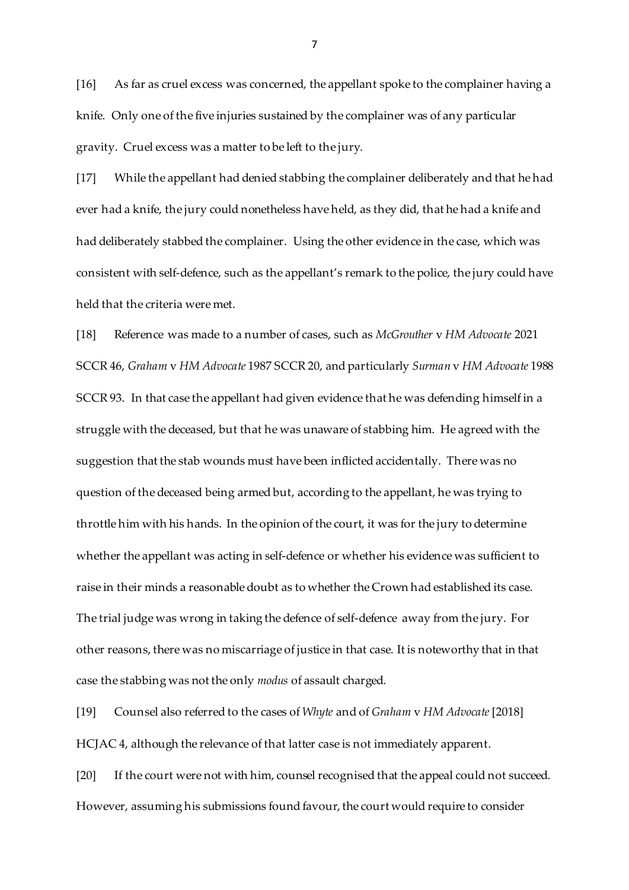[16] As far as cruel excess was concerned, the appellant spoke to the complainer having a knife. Only one of the five injuries sustained by the complainer was of any particular gravity. Cruel excess was a matter to be left to the jury.

[17] While the appellant had denied stabbing the complainer deliberately and that he had ever had a knife, the jury could nonetheless have held, as they did, that he had a knife and had deliberately stabbed the complainer. Using the other evidence in the case, which was consistent with self-defence, such as the appellant's remark to the police, the jury could have held that the criteria were met.

[18] Reference was made to a number of cases, such as *McGrouther* v *HM Advocate* 2021 SCCR 46, *Graham* v *HM Advocate* 1987 SCCR 20, and particularly *Surman* v *HM Advocate* 1988 SCCR 93. In that case the appellant had given evidence that he was defending himself in a struggle with the deceased, but that he was unaware of stabbing him. He agreed with the suggestion that the stab wounds must have been inflicted accidentally. There was no question of the deceased being armed but, according to the appellant, he was trying to throttle him with his hands. In the opinion of the court, it was for the jury to determine whether the appellant was acting in self-defence or whether his evidence was sufficient to raise in their minds a reasonable doubt as to whether the Crown had established its case. The trial judge was wrong in taking the defence of self-defence away from the jury. For other reasons, there was no miscarriage of justice in that case. It is noteworthy that in that case the stabbing was not the only *modus* of assault charged.

[19] Counsel also referred to the cases of *Whyte* and of *Graham* v *HM Advocate*[2018] HCJAC 4, although the relevance of that latter case is not immediately apparent.

[20] If the court were not with him, counsel recognised that the appeal could not succeed. However, assuming his submissions found favour, the court would require to consider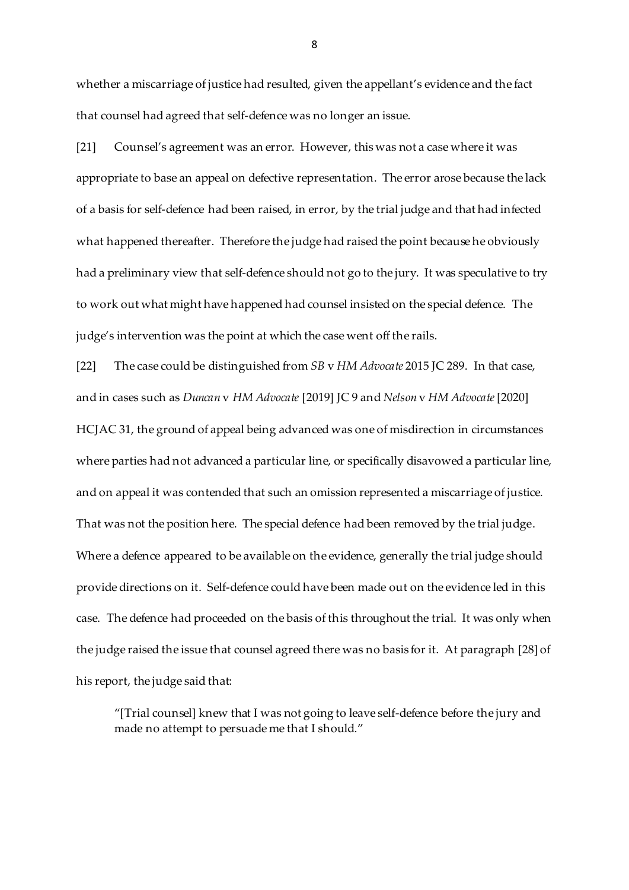whether a miscarriage of justice had resulted, given the appellant's evidence and the fact that counsel had agreed that self-defence was no longer an issue.

[21] Counsel's agreement was an error. However, this was not a case where it was appropriate to base an appeal on defective representation. The error arose because the lack of a basis for self-defence had been raised, in error, by the trial judge and that had infected what happened thereafter. Therefore the judge had raised the point because he obviously had a preliminary view that self-defence should not go to the jury. It was speculative to try to work out what might have happened had counsel insisted on the special defence. The judge's intervention was the point at which the case went off the rails.

[22] The case could be distinguished from *SB* v *HM Advocate* 2015 JC 289. In that case, and in cases such as *Duncan* v *HM Advocate* [2019] JC 9 and *Nelson* v *HM Advocate*[2020] HCJAC 31, the ground of appeal being advanced was one of misdirection in circumstances where parties had not advanced a particular line, or specifically disavowed a particular line, and on appeal it was contended that such an omission represented a miscarriage of justice. That was not the position here. The special defence had been removed by the trial judge. Where a defence appeared to be available on the evidence, generally the trial judge should provide directions on it. Self-defence could have been made out on the evidence led in this case. The defence had proceeded on the basis of this throughout the trial. It was only when the judge raised the issue that counsel agreed there was no basis for it. At paragraph [28] of his report, the judge said that:

"[Trial counsel] knew that I was not going to leave self-defence before the jury and made no attempt to persuade me that I should."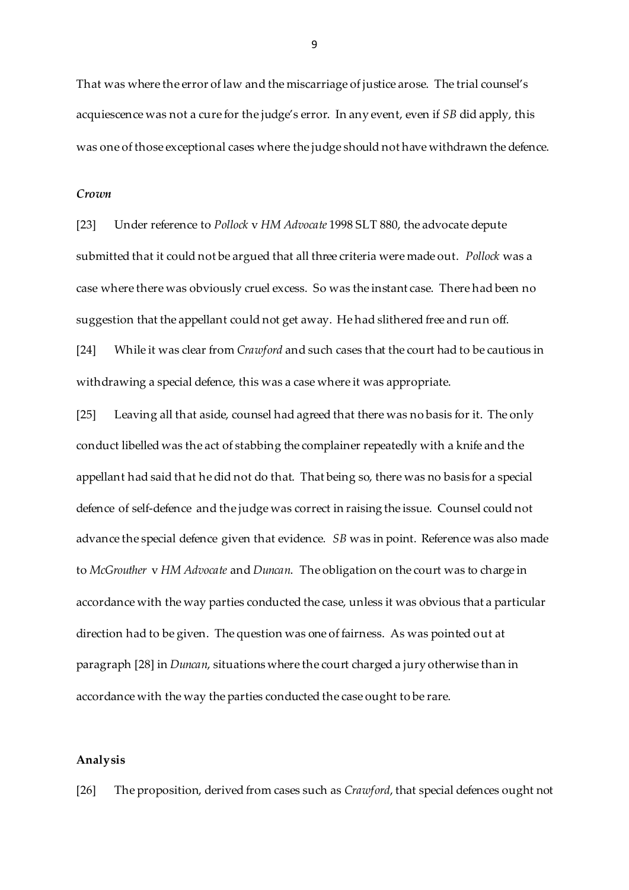That was where the error of law and the miscarriage of justice arose. The trial counsel's acquiescence was not a cure for the judge's error. In any event, even if *SB* did apply, this was one of those exceptional cases where the judge should not have withdrawn the defence.

#### *Crown*

[23] Under reference to *Pollock* v *HM Advocate* 1998 SLT 880, the advocate depute submitted that it could not be argued that all three criteria were made out. *Pollock* was a case where there was obviously cruel excess. So was the instant case. There had been no suggestion that the appellant could not get away. He had slithered free and run off. [24] While it was clear from *Crawford* and such cases that the court had to be cautious in withdrawing a special defence, this was a case where it was appropriate.

[25] Leaving all that aside, counsel had agreed that there was no basis for it. The only conduct libelled was the act of stabbing the complainer repeatedly with a knife and the appellant had said that he did not do that. That being so, there was no basis for a special defence of self-defence and the judge was correct in raising the issue. Counsel could not advance the special defence given that evidence. *SB* was in point. Reference was also made to *McGrouther* v *HM Advocate* and *Duncan*. The obligation on the court was to charge in accordance with the way parties conducted the case, unless it was obvious that a particular direction had to be given. The question was one of fairness. As was pointed out at paragraph [28] in *Duncan*, situations where the court charged a jury otherwise than in accordance with the way the parties conducted the case ought to be rare.

#### **Analysis**

[26] The proposition, derived from cases such as *Crawford*, that special defences ought not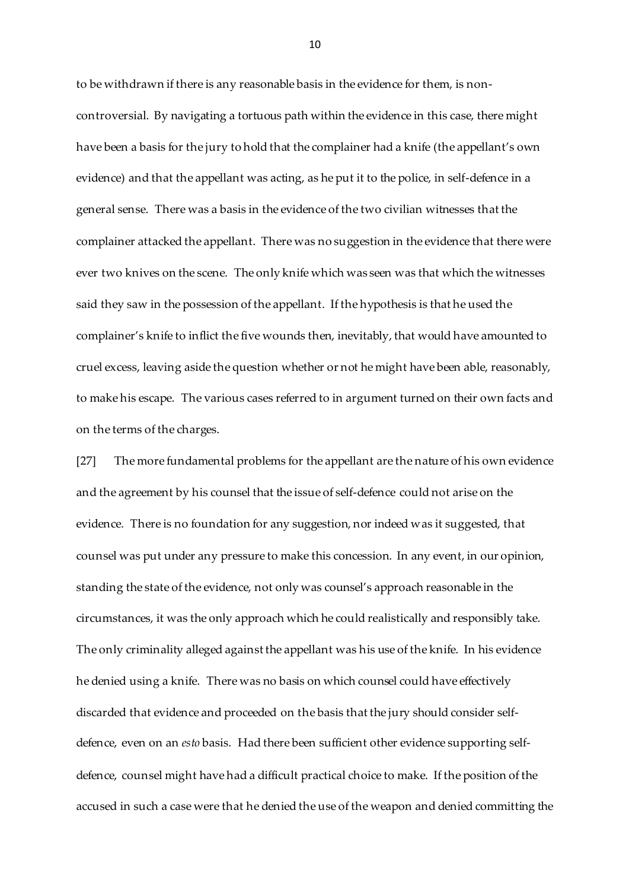to be withdrawn if there is any reasonable basis in the evidence for them, is noncontroversial. By navigating a tortuous path within the evidence in this case, there might have been a basis for the jury to hold that the complainer had a knife (the appellant's own evidence) and that the appellant was acting, as he put it to the police, in self-defence in a general sense. There was a basis in the evidence of the two civilian witnesses that the complainer attacked the appellant. There was no suggestion in the evidence that there were ever two knives on the scene. The only knife which was seen was that which the witnesses said they saw in the possession of the appellant. If the hypothesis is that he used the complainer's knife to inflict the five wounds then, inevitably, that would have amounted to cruel excess, leaving aside the question whether or not he might have been able, reasonably, to make his escape. The various cases referred to in argument turned on their own facts and on the terms of the charges.

[27] The more fundamental problems for the appellant are the nature of his own evidence and the agreement by his counsel that the issue of self-defence could not arise on the evidence. There is no foundation for any suggestion, nor indeed was it suggested, that counsel was put under any pressure to make this concession. In any event, in our opinion, standing the state of the evidence, not only was counsel's approach reasonable in the circumstances, it was the only approach which he could realistically and responsibly take. The only criminality alleged against the appellant was his use of the knife. In his evidence he denied using a knife. There was no basis on which counsel could have effectively discarded that evidence and proceeded on the basis that the jury should consider selfdefence, even on an *esto* basis. Had there been sufficient other evidence supporting selfdefence, counsel might have had a difficult practical choice to make. If the position of the accused in such a case were that he denied the use of the weapon and denied committing the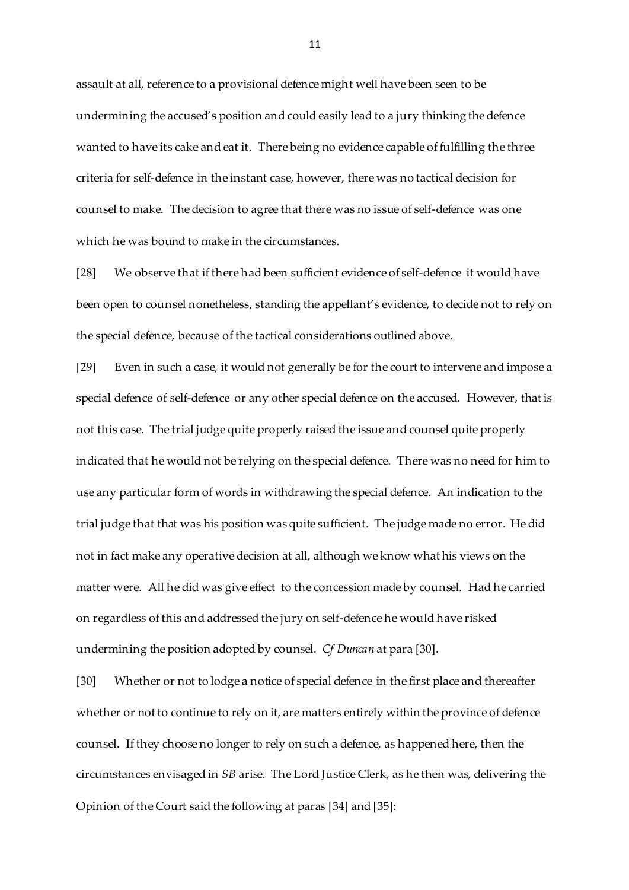assault at all, reference to a provisional defence might well have been seen to be undermining the accused's position and could easily lead to a jury thinking the defence wanted to have its cake and eat it. There being no evidence capable of fulfilling the three criteria for self-defence in the instant case, however, there was no tactical decision for counsel to make. The decision to agree that there was no issue of self-defence was one which he was bound to make in the circumstances.

[28] We observe that if there had been sufficient evidence of self-defence it would have been open to counsel nonetheless, standing the appellant's evidence, to decide not to rely on the special defence, because of the tactical considerations outlined above.

[29] Even in such a case, it would not generally be for the court to intervene and impose a special defence of self-defence or any other special defence on the accused. However, that is not this case. The trial judge quite properly raised the issue and counsel quite properly indicated that he would not be relying on the special defence. There was no need for him to use any particular form of words in withdrawing the special defence. An indication to the trial judge that that was his position was quite sufficient. The judge made no error. He did not in fact make any operative decision at all, although we know what his views on the matter were. All he did was give effect to the concession made by counsel. Had he carried on regardless of this and addressed the jury on self-defence he would have risked undermining the position adopted by counsel. *Cf Duncan* at para [30].

[30] Whether or not to lodge a notice of special defence in the first place and thereafter whether or not to continue to rely on it, are matters entirely within the province of defence counsel. If they choose no longer to rely on such a defence, as happened here, then the circumstances envisaged in *SB* arise. The Lord Justice Clerk, as he then was, delivering the Opinion of the Court said the following at paras [34] and [35]: